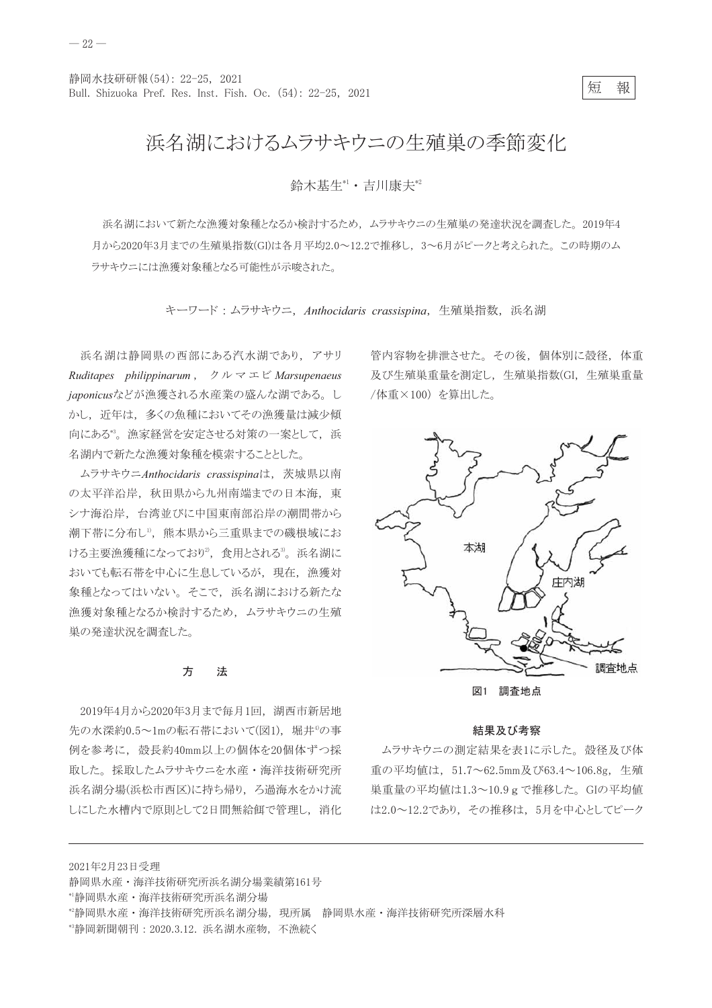短 報

## 浜名湖におけるムラサキウニの生殖巣の季節変化

## 給木基牛\*1 · 吉川康夫\*2

浜名湖において新たな漁獲対象種となるか検討するため、ムラサキウニの生殖巣の発達状況を調査した。2019年4 月から2020年3月までの生殖巣指数(GI)は各月平均2.0~12.2で推移し、3~6月がピークと考えられた。この時期のム ラサキウニには漁獲対象種となる可能性が示唆された。

キーワード: ムラサキウニ, Anthocidaris crassispina, 生殖巣指数, 浜名湖

浜名湖は静岡県の西部にある汽水湖であり、アサリ Ruditapes philippinarum,  $\forall \forall \forall \forall \exists \forall$  Marsupenaeus japonicusなどが漁獲される水産業の盛んな湖である。し かし、近年は、多くの魚種においてその漁獲量は減少傾 向にある\*'。漁家経営を安定させる対策の一案として、浜 名湖内で新たな漁獲対象種を模索することとした。

ムラサキウニAnthocidaris crassispinaは、茨城県以南 の太平洋沿岸、秋田県から九州南端までの日本海、東 シナ海沿岸、台湾並びに中国東南部沿岸の潮間帯から 潮下帯に分布し<sup>1</sup>, 熊本県から三重県までの磯根域にお ける主要漁獲種になっており2, 食用とされる3。浜名湖に おいても転石帯を中心に生息しているが、現在、漁獲対 象種となってはいない。そこで、浜名湖における新たな 漁獲対象種となるか検討するため、ムラサキウニの生殖 巣の発達状況を調査した。

#### 方 法

2019年4月から2020年3月まで毎月1回、湖西市新居地 先の水深約0.5~1mの転石帯において(図1), 堀井4の事 例を参考に、殻長約40mm以上の個体を20個体ずつ採 取した。採取したムラサキウニを水産・海洋技術研究所 浜名湖分場(浜松市西区)に持ち帰り、ろ過海水をかけ流 しにした水槽内で原則として2日間無給餌で管理し、消化

管内容物を排泄させた。その後、個体別に殻径、体重 及び生殖巣重量を測定し、生殖巣指数(GI,生殖巣重量 /体重×100) を算出した。



図1 調査地点

### 結果及び考察

ムラサキウニの測定結果を表1に示した。殻径及び体 重の平均値は、51.7~62.5mm及び63.4~106.8g, 生殖 巣重量の平均値は1.3~10.9 g で推移した。GIの平均値 は2.0~12.2であり、その推移は、5月を中心としてピーク

2021年2月23日受理 静岡県水産·海洋技術研究所浜名湖分場業績第161号 \*'静岡県水産·海洋技術研究所浜名湖分場 \*静岡県水産·海洋技術研究所浜名湖分場, 現所属 静岡県水産·海洋技術研究所深層水科

<sup>\*\*</sup>静岡新聞朝刊: 2020.3.12. 浜名湖水産物, 不漁続く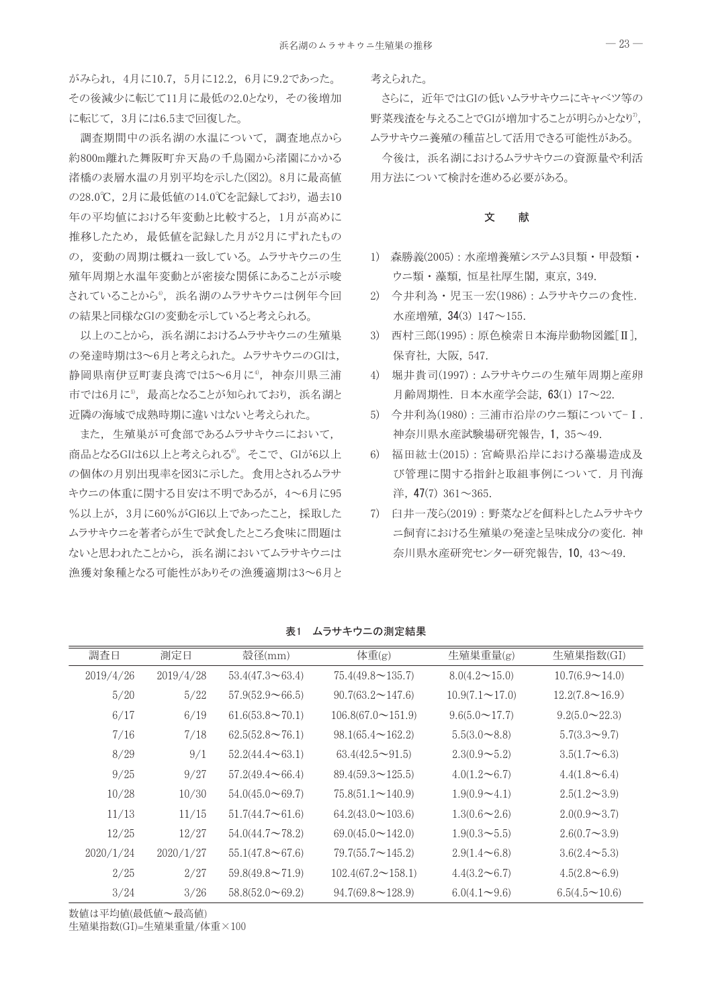がみられ、4月に10.7,5月に12.2,6月に9.2であった。 その後減少に転じて11月に最低の2.0となり、その後増加 に転じて、3月には6.5まで回復した。

調査期間中の浜名湖の水温について、調査地点から 約800m離れた舞阪町弁天島の千鳥園から渚園にかかる 渚橋の表層水温の月別平均を示した(図2)。8月に最高値 の28.0℃, 2月に最低値の14.0℃を記録しており、過去10 年の平均値における年変動と比較すると、1月が高めに 推移したため、最低値を記録した月が2月にずれたもの の、変動の周期は概ね一致している。ムラサキウニの生 殖年周期と水温年変動とが密接な関係にあることが示唆 されていることから<sup>4</sup>, 浜名湖のムラサキウニは例年今回 の結果と同様なGIの変動を示していると考えられる。

以上のことから、浜名湖におけるムラサキウニの生殖巣 の発達時期は3~6月と考えられた。 ムラサキウニのGIは, 静岡県南伊豆町妻良湾では5~6月に4, 神奈川県三浦 市では6月に5, 最高となることが知られており、浜名湖と 近隣の海域で成熟時期に違いはないと考えられた。

また、生殖巣が可食部であるムラサキウニにおいて、 商品となるGIは6以上と考えられる<sup>6</sup>。そこで、GIが6以上 の個体の月別出現率を図3に示した。 食用とされるムラサ キウニの体重に関する目安は不明であるが、4~6月に95 %以上が, 3月に60%がGI6以上であったこと, 採取した ムラサキウニを著者らが生で試食したところ食味に問題は ないと思われたことから、浜名湖においてムラサキウニは 漁獲対象種となる可能性がありその漁獲適期は3~6月と 考えられた。

さらに、近年ではGIの低いムラサキウニにキャベツ等の 野菜残渣を与えることでGIが増加することが明らかとなり", ムラサキウニ養殖の種苗として活用できる可能性がある。

今後は、浜名湖におけるムラサキウニの資源量や利活 用方法について検討を進める必要がある。

#### 文 献

- 1) 森勝義(2005): 水産増養殖システム3貝類・甲殻類・ ウニ類・藻類,恒星社厚生閣,東京, 349.
- 2) 今井利為·児玉一宏(1986):ムラサキウニの食性. 水産増殖, 34(3) 147~155.
- 3) 西村三郎(1995): 原色検索日本海岸動物図鑑[II], 保育社, 大阪, 547.
- 4) 堀井貴司(1997): ムラサキウニの生殖年周期と産卵 月齢周期性. 日本水産学会誌, 63(1) 17~22.
- 5) 今井利為(1980): 三浦市沿岸のウニ類について-I. 神奈川県水産試験場研究報告, 1, 35~49.
- 6) 福田紘士(2015):宮崎県沿岸における藻場造成及 び管理に関する指針と取組事例について. 月刊海 洋, 47(7)  $361 \sim 365$ .
- 7) 臼井一茂ら(2019):野菜などを餌料としたムラサキウ ニ飼育における生殖巣の発達と呈味成分の変化. 神 奈川県水産研究センター研究報告, 10, 43~49.

| 調査日       | 測定日       | 殻径(mm)                        | 体重(g)                          | 生殖巣重量(g)              | 生殖巣指数(GI)                  |
|-----------|-----------|-------------------------------|--------------------------------|-----------------------|----------------------------|
| 2019/4/26 | 2019/4/28 | $53.4(47.3 \rightarrow 63.4)$ | $75.4(49.8 \sim 135.7)$        | $8.0(4.2 \sim 15.0)$  | $10.7(6.9 \sim 14.0)$      |
| 5/20      | 5/22      | $57.9(52.9\sim 66.5)$         | $90.7(63.2 \sim 147.6)$        | $10.9(7.1 \sim 17.0)$ | $12.2(7.8\sim16.9)$        |
| 6/17      | 6/19      | $61.6(53.8 \sim 70.1)$        | $106.8(67.0 \sim 151.9)$       | $9.6(5.0 \sim 17.7)$  | $9.2(5.0 \sim 22.3)$       |
| 7/16      | 7/18      | $62.5(52.8 \sim 76.1)$        | $98.1(65.4 \sim 162.2)$        | $5.5(3.0 - 8.8)$      | $5.7(3.3 \rightarrow 9.7)$ |
| 8/29      | 9/1       | $52.2(44.4 \sim 63.1)$        | $63.4(42.5 \rightarrow 91.5)$  | $2.3(0.9 - 5.2)$      | $3.5(1.7\infty6.3)$        |
| 9/25      | 9/27      | $57.2(49.4 \sim 66.4)$        | $89.4(59.3 \rightarrow 125.5)$ | $4.0(1.2\infty6.7)$   | $4.4(1.8\infty 6.4)$       |
| 10/28     | 10/30     | $54.0(45.0 \rightarrow 69.7)$ | $75.8(51.1 \sim 140.9)$        | $1.9(0.9 - 4.1)$      | $2.5(1.2 \sim 3.9)$        |
| 11/13     | 11/15     | $51.7(44.7\infty61.6)$        | $64.2(43.0 \sim 103.6)$        | $1.3(0.6 \sim 2.6)$   | $2.0(0.9 - 3.7)$           |
| 12/25     | 12/27     | $54.0(44.7 \sim 78.2)$        | $69.0(45.0 \sim 142.0)$        | $1.9(0.3 \sim 5.5)$   | $2.6(0.7\sim3.9)$          |
| 2020/1/24 | 2020/1/27 | $55.1(47.8 \rightarrow 67.6)$ | $79.7(55.7 \sim 145.2)$        | $2.9(1.4\sim6.8)$     | $3.6(2.4 \sim 5.3)$        |
| 2/25      | 2/27      | $59.8(49.8 \sim 71.9)$        | $102.4(67.2 \sim 158.1)$       | $4.4(3.2\infty6.7)$   | $4.5(2.8\sim6.9)$          |
| 3/24      | 3/26      | $58.8(52.0 \rightarrow 69.2)$ | $94.7(69.8 \sim 128.9)$        | $6.0(4.1 \sim 9.6)$   | $6.5(4.5 \sim 10.6)$       |

表1 ムラサキウニの測定結果

数値は平均値(最低値~最高値) 生殖巣指数(GI)=生殖巣重量/体重×100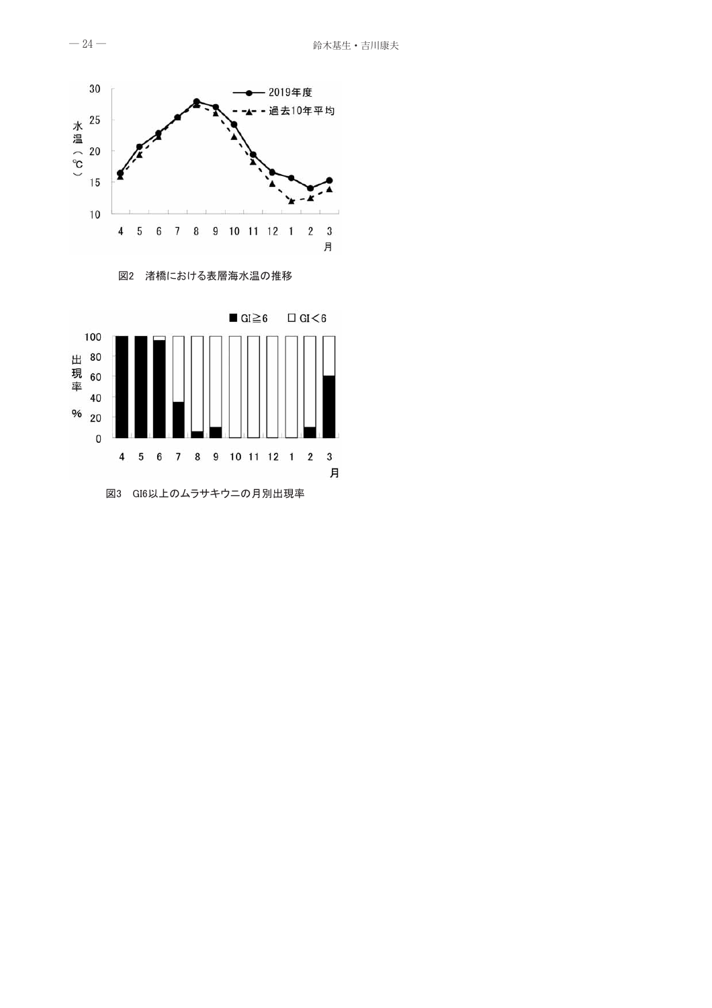

図2 渚橋における表層海水温の推移